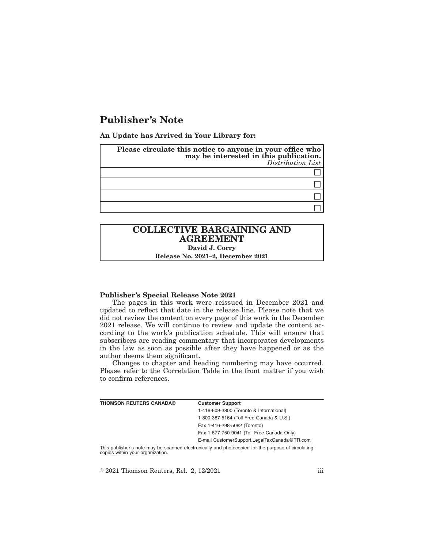# **Publisher's Note**

**An Update has Arrived in Your Library for:**

| Please circulate this notice to anyone in your office who<br>may be interested in this publication.<br>Distribution List |
|--------------------------------------------------------------------------------------------------------------------------|
|                                                                                                                          |
|                                                                                                                          |
|                                                                                                                          |
|                                                                                                                          |

## **COLLECTIVE BARGAINING AND AGREEMENT David J. Corry**

**Release No. 2021–2, December 2021**

#### **Publisher's Special Release Note 2021**

The pages in this work were reissued in December 2021 and updated to reflect that date in the release line. Please note that we did not review the content on every page of this work in the December 2021 release. We will continue to review and update the content according to the work's publication schedule. This will ensure that subscribers are reading commentary that incorporates developments in the law as soon as possible after they have happened or as the author deems them significant.

Changes to chapter and heading numbering may have occurred. Please refer to the Correlation Table in the front matter if you wish to confirm references.

| <b>THOMSON REUTERS CANADA®</b> | <b>Customer Support</b>                      |
|--------------------------------|----------------------------------------------|
|                                | 1-416-609-3800 (Toronto & International)     |
|                                | 1-800-387-5164 (Toll Free Canada & U.S.)     |
|                                | Fax 1-416-298-5082 (Toronto)                 |
|                                | Fax 1-877-750-9041 (Toll Free Canada Only)   |
|                                | E-mail CustomerSupport.LegalTaxCanada@TR.com |

This publisher's note may be scanned electronically and photocopied for the purpose of circulating copies within your organization.

 $\textdegree$  2021 Thomson Reuters, Rel. 2, 12/2021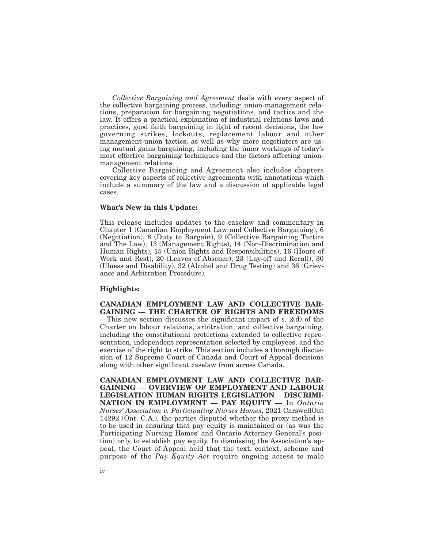*Collective Bargaining and Agreement* deals with every aspect of the collective bargaining process, including: union-management relations, preparation for bargaining negotiations, and tactics and the law. It offers a practical explanation of industrial relations laws and practices, good faith bargaining in light of recent decisions, the law governing strikes, lockouts, replacement labour and other management-union tactics, as well as why more negotiators are using mutual gains bargaining, including the inner workings of today's most effective bargaining techniques and the factors affecting unionmanagement relations.

Collective Bargaining and Agreement also includes chapters covering key aspects of collective agreements with annotations which include a summary of the law and a discussion of applicable legal cases.

### **What's New in this Update:**

This release includes updates to the caselaw and commentary in Chapter 1 (Canadian Employment Law and Collective Bargaining), 6 (Negotiation), 8 (Duty to Bargain), 9 (Collective Bargaining Tactics and The Law), 13 (Management Rights), 14 (Non-Discrimination and Human Rights), 15 (Union Rights and Responsibilities), 16 (Hours of Work and Rest), 20 (Leaves of Absence), 23 (Lay-off and Recall), 30 (Illness and Disability), 32 (Alcohol and Drug Testing) and 36 (Grievance and Arbitration Procedure).

#### **Highlights:**

**CANADIAN EMPLOYMENT LAW AND COLLECTIVE BAR-GAINING** — **THE CHARTER OF RIGHTS AND FREEDOMS** —This new section discusses the significant impact of s. 2(d) of the Charter on labour relations, arbitration, and collective bargaining, including the constitutional protections extended to collective representation, independent representation selected by employees, and the exercise of the right to strike. This section includes a thorough discussion of 12 Supreme Court of Canada and Court of Appeal decisions along with other significant caselaw from across Canada.

**CANADIAN EMPLOYMENT LAW AND COLLECTIVE BAR-GAINING** — **OVERVIEW OF EMPLOYMENT AND LABOUR LEGISLATION HUMAN RIGHTS LEGISLATION** – **DISCRIMI-NATION IN EMPLOYMENT** — **PAY EQUITY** — In *Ontario Nurses' Association v. Participating Nurses Homes*, 2021 CarswellOnt 14292 (Ont. C.A.), the parties disputed whether the proxy method is to be used in ensuring that pay equity is maintained or (as was the Participating Nursing Homes' and Ontario Attorney General's position) only to establish pay equity. In dismissing the Association's appeal, the Court of Appeal held that the text, context, scheme and purpose of the *Pay Equity Act* require ongoing access to male